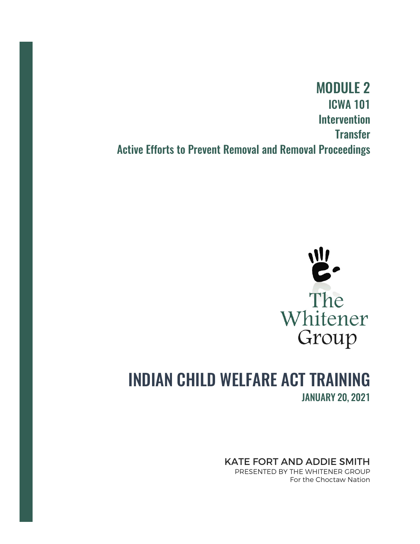MODULE 2 ICWA 101 Intervention **Transfer** Active Efforts to Prevent Removal and Removal Proceedings



# INDIAN CHILD WELFARE ACT TRAINING JANUARY 20, 2021

### KATE FORT AND ADDIE SMITH

PRESENTED BY THE WHITENER GROUP For the Choctaw Nation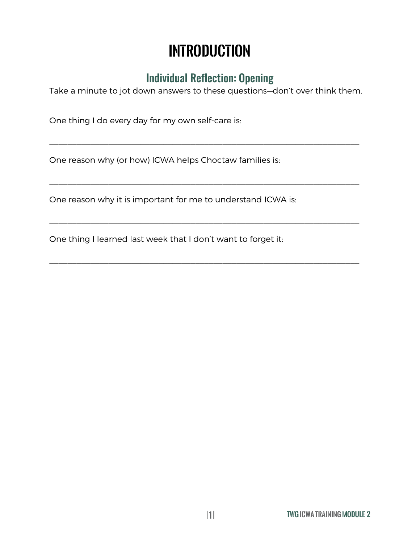# **Introduction**

## Individual Reflection: Opening

Take a minute to jot down answers to these questions—don't over think them.

 $\_$  , and the set of the set of the set of the set of the set of the set of the set of the set of the set of the set of the set of the set of the set of the set of the set of the set of the set of the set of the set of th

 $\mathcal{L}_\mathcal{L} = \mathcal{L}_\mathcal{L} = \mathcal{L}_\mathcal{L} = \mathcal{L}_\mathcal{L} = \mathcal{L}_\mathcal{L} = \mathcal{L}_\mathcal{L} = \mathcal{L}_\mathcal{L} = \mathcal{L}_\mathcal{L} = \mathcal{L}_\mathcal{L} = \mathcal{L}_\mathcal{L} = \mathcal{L}_\mathcal{L} = \mathcal{L}_\mathcal{L} = \mathcal{L}_\mathcal{L} = \mathcal{L}_\mathcal{L} = \mathcal{L}_\mathcal{L} = \mathcal{L}_\mathcal{L} = \mathcal{L}_\mathcal{L}$ 

 $\mathcal{L}_\mathcal{L} = \mathcal{L}_\mathcal{L} = \mathcal{L}_\mathcal{L} = \mathcal{L}_\mathcal{L} = \mathcal{L}_\mathcal{L} = \mathcal{L}_\mathcal{L} = \mathcal{L}_\mathcal{L} = \mathcal{L}_\mathcal{L} = \mathcal{L}_\mathcal{L} = \mathcal{L}_\mathcal{L} = \mathcal{L}_\mathcal{L} = \mathcal{L}_\mathcal{L} = \mathcal{L}_\mathcal{L} = \mathcal{L}_\mathcal{L} = \mathcal{L}_\mathcal{L} = \mathcal{L}_\mathcal{L} = \mathcal{L}_\mathcal{L}$ 

 $\_$  , and the set of the set of the set of the set of the set of the set of the set of the set of the set of the set of the set of the set of the set of the set of the set of the set of the set of the set of the set of th

One thing I do every day for my own self-care is:

One reason why (or how) ICWA helps Choctaw families is:

One reason why it is important for me to understand ICWA is:

One thing I learned last week that I don't want to forget it: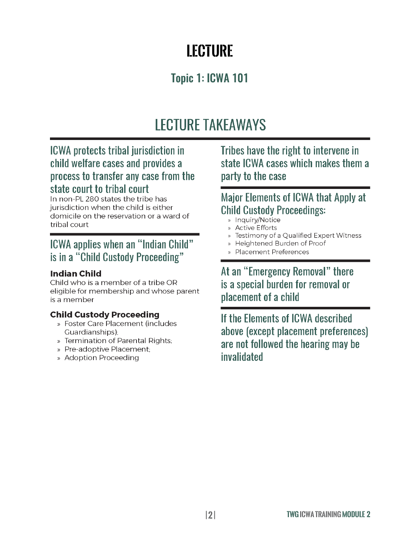# **LECTURE**

# **Topic 1: ICWA 101**

# **LECTURE TAKEAWAYS**

## **ICWA** protects tribal jurisdiction in child welfare cases and provides a process to transfer any case from the state court to tribal court

In non-PL 280 states the tribe has jurisdiction when the child is either domicile on the reservation or a ward of tribal court

## ICWA applies when an "Indian Child" is in a "Child Custody Proceeding"

#### **Indian Child**

Child who is a member of a tribe OR eligible for membership and whose parent is a member

#### **Child Custody Proceeding**

- » Foster Care Placement (includes Guardianships);
- » Termination of Parental Rights;
- » Pre-adoptive Placement:
- » Adoption Proceeding

Tribes have the right to intervene in state ICWA cases which makes them a party to the case

### Major Elements of ICWA that Apply at **Child Custody Proceedings:**

- » Inquiry/Notice
- » Active Efforts
- Testimony of a Qualified Expert Witness
- Heightened Burden of Proof
- **Placement Preferences**

At an "Emergency Removal" there is a special burden for removal or placement of a child

If the Flements of ICWA described above (except placement preferences) are not followed the hearing may be invalidated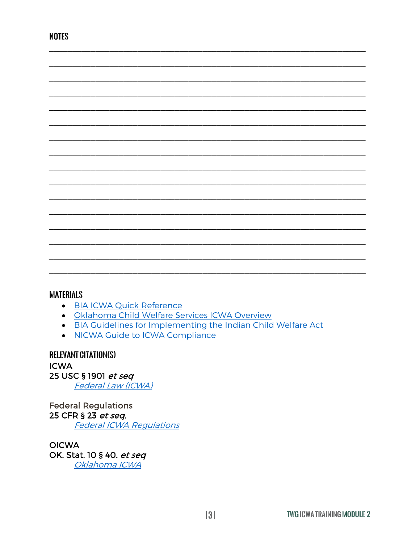#### **MATERIALS**

- BIA ICWA Quick Reference
- · Oklahoma Child Welfare Services ICWA Overview
- BIA Guidelines for Implementing the Indian Child Welfare Act
- NICWA Guide to ICWA Compliance

**RELEVANT CITATION(S) ICWA** 25 USC § 1901 et seq Federal Law (ICWA)

**Federal Regulations** 25 CFR § 23 et seq. **Federal ICWA Regulations** 

**OICWA** OK. Stat. 10 § 40. et seq Oklahoma ICWA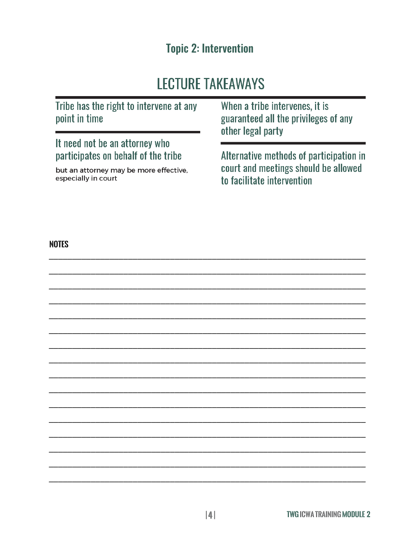# **Topic 2: Intervention**

# **LECTURE TAKEAWAYS**

| Tribe has the right to intervene at any<br>point in time              | When a tribe intervenes, it is<br>guaranteed all the privileges of any<br>other legal party |  |
|-----------------------------------------------------------------------|---------------------------------------------------------------------------------------------|--|
| It need not be an attorney who<br>participates on behalf of the tribe | Alternative methods of participation in                                                     |  |
| but an attorney may be more effective,<br>especially in court         | court and meetings should be allowed<br>to facilitate intervention                          |  |
|                                                                       |                                                                                             |  |

**NOTES**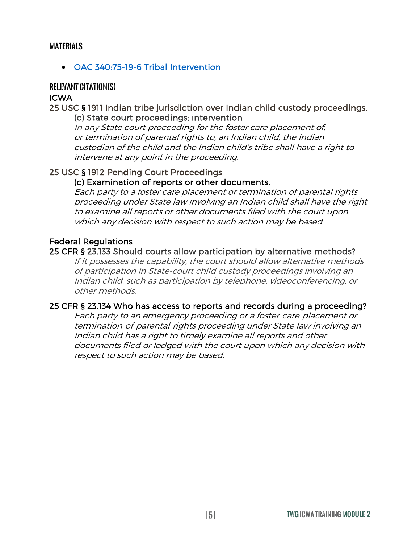#### **Materials**

#### • [OAC 340:75-19-6 Tribal Intervention](https://oklahoma.gov/okdhs/library/policy/current/oac-340/chapter-75/subchapter-19/tribal-intervention-in-state-court-proceedings-and-tribal-inspection-of-oklahoma-department-of-human-services-okdhs-records-without-a-court-order.html)

#### **Relevant Citation(s)**

#### ICWA

#### 25 USC § 1911 Indian tribe jurisdiction over Indian child custody proceedings. (c) State court proceedings; intervention

In any State court proceeding for the foster care placement of, or termination of parental rights to, an Indian child, the Indian custodian of the child and the Indian child's tribe shall have a right to intervene at any point in the proceeding.

#### 25 USC § 1912 Pending Court Proceedings

#### (c) Examination of reports or other documents.

Each party to a foster care placement or termination of parental rights proceeding under State law involving an Indian child shall have the right to examine all reports or other documents filed with the court upon which any decision with respect to such action may be based.

#### Federal Regulations

#### 25 CFR § 23.133 Should courts allow participation by alternative methods?

If it possesses the capability, the court should allow alternative methods of participation in State-court child custody proceedings involving an Indian child, such as participation by telephone, videoconferencing, or other methods.

#### 25 CFR § 23.134 Who has access to reports and records during a proceeding?

Each party to an emergency proceeding or a foster-care-placement or termination-of-parental-rights proceeding under State law involving an Indian child has a right to timely examine all reports and other documents filed or lodged with the court upon which any decision with respect to such action may be based.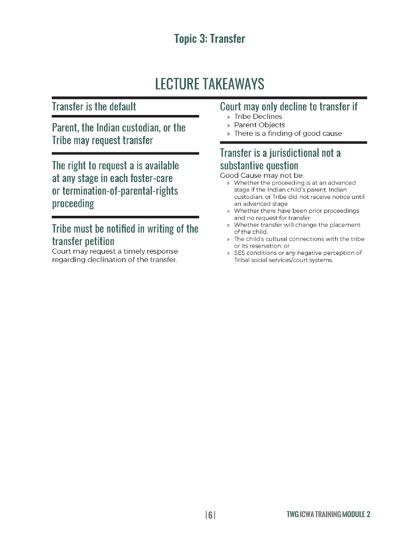# **Topic 3: Transfer**

# **LECTURE TAKEAWAYS**

### **Transfer is the default**

Parent, the Indian custodian, or the Tribe may request transfer

The right to request a is available at any stage in each foster-care or termination-of-parental-rights proceeding

### Tribe must be notified in writing of the transfer petition

Court may request a timely response regarding declination of the transfer.

## Court may only decline to transfer if

- » Tribe Declines
- » Parent Objects
- » There is a finding of good cause

### Transfer is a jurisdictional not a substantive question

Good Cause may not be:

- » Whether the proceeding is at an advanced stage if the Indian child's parent, Indian custodian, or Tribe did not receive notice until an advanced stage
- » Whether there have been prior proceedings and no request for transfer:
- Whether transfer will change the placement of the child:
- The child's cultural connections with the tribe or its reservation; or
- » SES conditions or any negative perception of Tribal social services/court systems.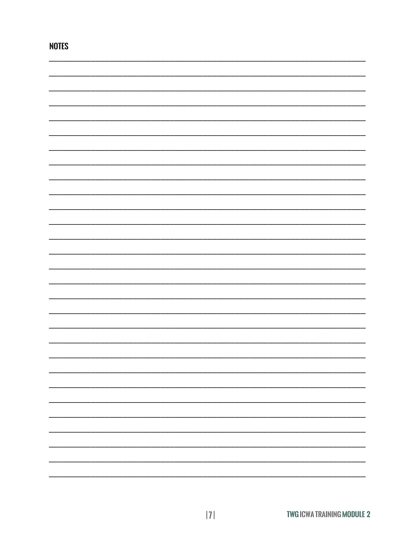| <b>NOTES</b> |  |
|--------------|--|
|              |  |
|              |  |
|              |  |
|              |  |
|              |  |
|              |  |
|              |  |
|              |  |
|              |  |
|              |  |
|              |  |
|              |  |
|              |  |
|              |  |
|              |  |
|              |  |
|              |  |
|              |  |
|              |  |
|              |  |
|              |  |
|              |  |
|              |  |
|              |  |
|              |  |
|              |  |
|              |  |
|              |  |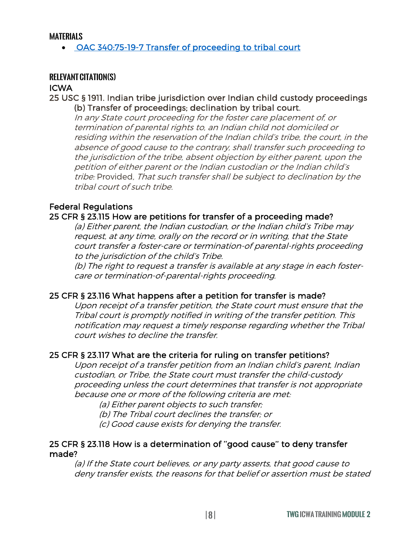#### **Materials**

• [OAC 340:75-19-7 Transfer of proceeding to tribal court](https://oklahoma.gov/okdhs/library/policy/current/oac-340/chapter-75/subchapter-19/transfer-of-jurisdiction.html)

#### **Relevant Citation(s)**

#### ICWA

#### 25 USC § 1911. Indian tribe jurisdiction over Indian child custody proceedings (b) Transfer of proceedings; declination by tribal court.

In any State court proceeding for the foster care placement of, or termination of parental rights to, an Indian child not domiciled or residing within the reservation of the Indian child's tribe, the court, in the absence of good cause to the contrary, shall transfer such proceeding to the jurisdiction of the tribe, absent objection by either parent, upon the petition of either parent or the Indian custodian or the Indian child's tribe: Provided, That such transfer shall be subject to declination by the tribal court of such tribe.

#### Federal Regulations

#### 25 CFR § 23.115 How are petitions for transfer of a proceeding made?

(a) Either parent, the Indian custodian, or the Indian child's Tribe may request, at any time, orally on the record or in writing, that the State court transfer a foster-care or termination-of parental-rights proceeding to the jurisdiction of the child's Tribe.

(b) The right to request a transfer is available at any stage in each fostercare or termination-of-parental-rights proceeding.

#### 25 CFR § 23.116 What happens after a petition for transfer is made?

Upon receipt of a transfer petition, the State court must ensure that the Tribal court is promptly notified in writing of the transfer petition. This notification may request a timely response regarding whether the Tribal court wishes to decline the transfer.

#### 25 CFR § 23.117 What are the criteria for ruling on transfer petitions?

Upon receipt of a transfer petition from an Indian child's parent, Indian custodian, or Tribe, the State court must transfer the child-custody proceeding unless the court determines that transfer is not appropriate because one or more of the following criteria are met:

(a) Either parent objects to such transfer;

(b) The Tribal court declines the transfer; or

(c) Good cause exists for denying the transfer.

#### 25 CFR § 23.118 How is a determination of ''good cause'' to deny transfer made?

(a) If the State court believes, or any party asserts, that good cause to deny transfer exists, the reasons for that belief or assertion must be stated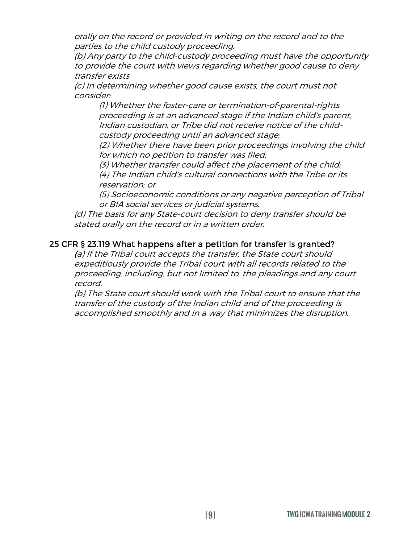orally on the record or provided in writing on the record and to the parties to the child custody proceeding.

(b) Any party to the child-custody proceeding must have the opportunity to provide the court with views regarding whether good cause to deny transfer exists.

(c) In determining whether good cause exists, the court must not consider:

(1) Whether the foster-care or termination-of-parental-rights proceeding is at an advanced stage if the Indian child's parent, Indian custodian, or Tribe did not receive notice of the childcustody proceeding until an advanced stage;

(2) Whether there have been prior proceedings involving the child for which no petition to transfer was filed;

(3) Whether transfer could affect the placement of the child; (4) The Indian child's cultural connections with the Tribe or its reservation; or

(5) Socioeconomic conditions or any negative perception of Tribal or BIA social services or judicial systems.

(d) The basis for any State-court decision to deny transfer should be stated orally on the record or in a written order.

#### 25 CFR § 23.119 What happens after a petition for transfer is granted?

(a) If the Tribal court accepts the transfer, the State court should expeditiously provide the Tribal court with all records related to the proceeding, including, but not limited to, the pleadings and any court record.

(b) The State court should work with the Tribal court to ensure that the transfer of the custody of the Indian child and of the proceeding is accomplished smoothly and in a way that minimizes the disruption.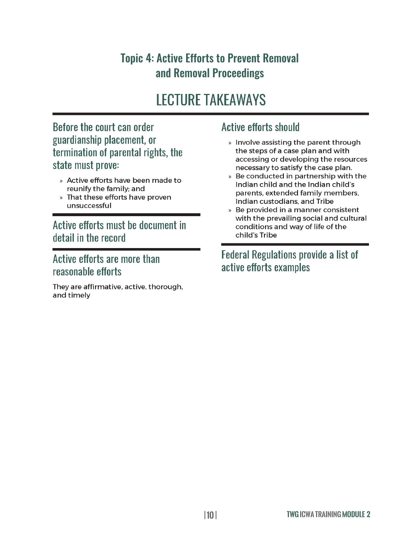# **Topic 4: Active Efforts to Prevent Removal** and Removal Proceedings

# **LECTURE TAKEAWAYS**

### Before the court can order guardianship placement, or termination of parental rights, the state must prove:

- » Active efforts have been made to reunify the family; and
- » That these efforts have proven unsuccessful

Active efforts must be document in detail in the record

### Active efforts are more than reasonable efforts

They are affirmative, active, thorough, and timely

## **Active efforts should**

- » Involve assisting the parent through the steps of a case plan and with accessing or developing the resources necessary to satisfy the case plan.
- » Be conducted in partnership with the Indian child and the Indian child's parents, extended family members, Indian custodians, and Tribe
- » Be provided in a manner consistent with the prevailing social and cultural conditions and way of life of the child's Tribe

**Federal Regulations provide a list of** active efforts examples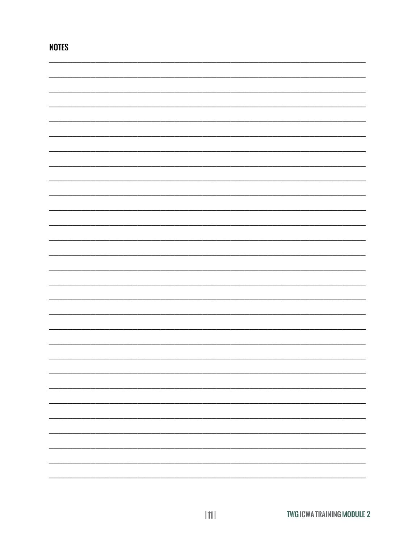|--|--|

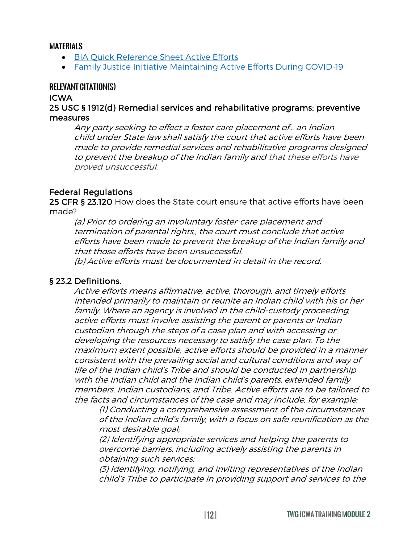#### **Materials**

- [BIA Quick Reference Sheet Active Efforts](https://www.bia.gov/sites/bia.gov/files/assets/bia/ois/ois/pdf/idc2-041405.pdf)
- [Family Justice Initiative Maintaining Active Efforts During COVID-19](https://familyjusticeinitiative.org/blog/active-efforts-in-icwa-cases-during-the-pandemic/)

#### **Relevant Citation(s)**

#### ICWA 25 USC § 1912(d) Remedial services and rehabilitative programs; preventive measures

Any party seeking to effect <sup>a</sup> foster care placement of… an Indian child under State law shall satisfy the court that active efforts have been made to provide remedial services and rehabilitative programs designed to prevent the breakup of the Indian family and that these efforts have proved unsuccessful.

#### Federal Regulations

25 CFR § 23.120 How does the State court ensure that active efforts have been made?

(a) Prior to ordering an involuntary foster-care placement and termination of parental rights,, the court must conclude that active efforts have been made to prevent the breakup of the Indian family and that those efforts have been unsuccessful. (b) Active efforts must be documented in detail in the record.

#### § 23.2 Definitions.

Active efforts means affirmative, active, thorough, and timely efforts intended primarily to maintain or reunite an Indian child with his or her family. Where an agency is involved in the child-custody proceeding, active efforts must involve assisting the parent or parents or Indian custodian through the steps of a case plan and with accessing or developing the resources necessary to satisfy the case plan. To the maximum extent possible, active efforts should be provided in a manner consistent with the prevailing social and cultural conditions and way of life of the Indian child's Tribe and should be conducted in partnership with the Indian child and the Indian child's parents, extended family members, Indian custodians, and Tribe. Active efforts are to be tailored to the facts and circumstances of the case and may include, for example:

(1) Conducting a comprehensive assessment of the circumstances of the Indian child's family, with a focus on safe reunification as the most desirable goal;

(2) Identifying appropriate services and helping the parents to overcome barriers, including actively assisting the parents in obtaining such services;

(3) Identifying, notifying, and inviting representatives of the Indian child's Tribe to participate in providing support and services to the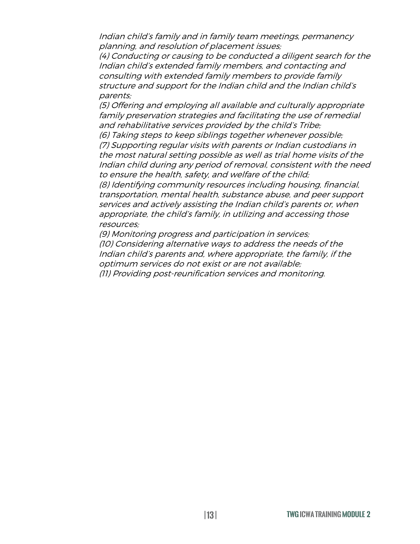Indian child's family and in family team meetings, permanency planning, and resolution of placement issues;

(4) Conducting or causing to be conducted a diligent search for the Indian child's extended family members, and contacting and consulting with extended family members to provide family structure and support for the Indian child and the Indian child's parents;

(5) Offering and employing all available and culturally appropriate family preservation strategies and facilitating the use of remedial and rehabilitative services provided by the child's Tribe;

(6) Taking steps to keep siblings together whenever possible; (7) Supporting regular visits with parents or Indian custodians in the most natural setting possible as well as trial home visits of the Indian child during any period of removal, consistent with the need to ensure the health, safety, and welfare of the child;

(8) Identifying community resources including housing, financial, transportation, mental health, substance abuse, and peer support services and actively assisting the Indian child's parents or, when appropriate, the child's family, in utilizing and accessing those resources;

(9) Monitoring progress and participation in services; (10) Considering alternative ways to address the needs of the Indian child's parents and, where appropriate, the family, if the optimum services do not exist or are not available; (11) Providing post-reunification services and monitoring.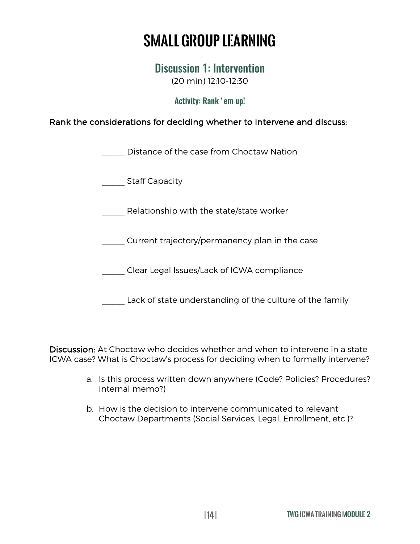# **Small Group Learning**

Discussion 1: Intervention

(20 min) 12:10-12:30

Activity: Rank 'em up!

#### Rank the considerations for deciding whether to intervene and discuss:

Distance of the case from Choctaw Nation

\_\_\_\_\_ Staff Capacity

\_\_\_\_\_ Relationship with the state/state worker

\_\_\_\_\_ Current trajectory/permanency plan in the case

\_\_\_\_\_ Clear Legal Issues/Lack of ICWA compliance

Lack of state understanding of the culture of the family

Discussion: At Choctaw who decides whether and when to intervene in a state ICWA case? What is Choctaw's process for deciding when to formally intervene?

- a. Is this process written down anywhere (Code? Policies? Procedures? Internal memo?)
- b. How is the decision to intervene communicated to relevant Choctaw Departments (Social Services, Legal, Enrollment, etc.)?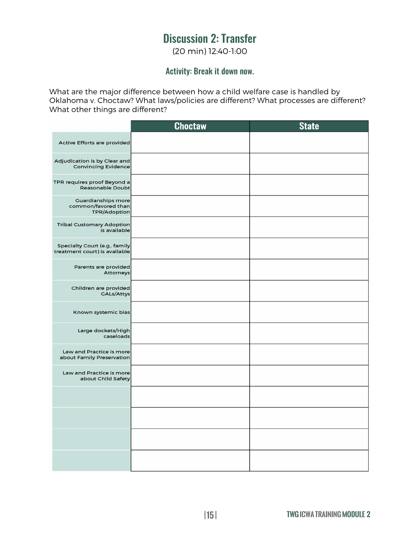## Discussion 2: Transfer

(20 min) 12:40-1:00

#### Activity: Break it down now.

What are the major difference between how a child welfare case is handled by Oklahoma v. Choctaw? What laws/policies are different? What processes are different? What other things are different?

|                                                                | <b>Choctaw</b> | <b>State</b> |
|----------------------------------------------------------------|----------------|--------------|
| Active Efforts are provided                                    |                |              |
| Adjudication is by Clear and<br><b>Convincing Evidence</b>     |                |              |
| TPR requires proof Beyond a<br>Reasonable Doubt                |                |              |
| Guardianships more<br>common/favored than<br>TPR/Adoption      |                |              |
| <b>Tribal Customary Adoption</b><br>is available               |                |              |
| Specialty Court (e.g., family<br>treatment court) is available |                |              |
| Parents are provided<br>Attorneys                              |                |              |
| Children are provided<br><b>GALs/Attys</b>                     |                |              |
| Known systemic bias                                            |                |              |
| Large dockets/High<br>caseloads                                |                |              |
| Law and Practice is more<br>about Family Preservation          |                |              |
| Law and Practice is more<br>about Child Safety                 |                |              |
|                                                                |                |              |
|                                                                |                |              |
|                                                                |                |              |
|                                                                |                |              |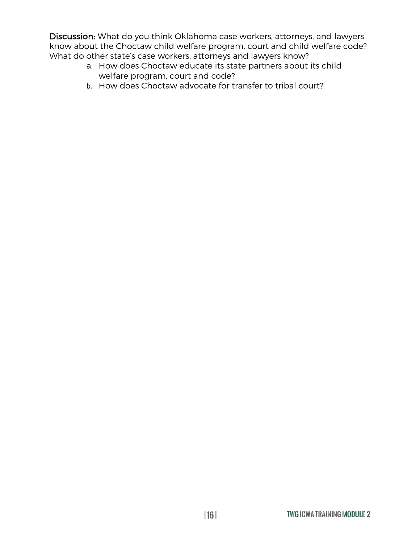Discussion: What do you think Oklahoma case workers, attorneys, and lawyers know about the Choctaw child welfare program, court and child welfare code? What do other state's case workers, attorneys and lawyers know?

- a. How does Choctaw educate its state partners about its child welfare program, court and code?
- b. How does Choctaw advocate for transfer to tribal court?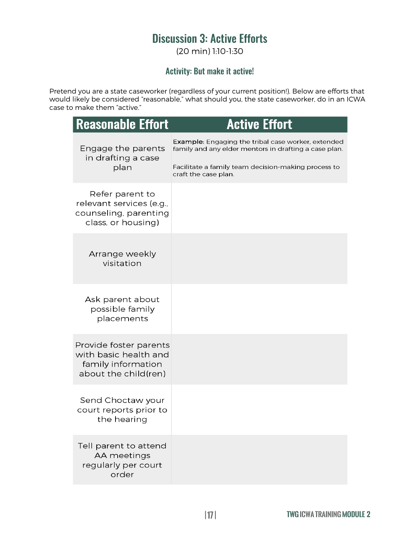## Discussion 3: Active Efforts

(20 min) 1:10-1:30

#### Activity: But make it active!

Pretend you are a state caseworker (regardless of your current position!). Below are efforts that would likely be considered "reasonable," what should you, the state caseworker, do in an ICWA case to make them "active."

| <b>Reasonable Effort</b>                                                                      | <b>Active Effort</b>                                                                                                                                                                       |
|-----------------------------------------------------------------------------------------------|--------------------------------------------------------------------------------------------------------------------------------------------------------------------------------------------|
| Engage the parents<br>in drafting a case<br>plan                                              | Example: Engaging the tribal case worker, extended<br>family and any elder mentors in drafting a case plan.<br>Facilitate a family team decision-making process to<br>craft the case plan. |
| Refer parent to<br>relevant services (e.g.,<br>counseling, parenting<br>class, or housing)    |                                                                                                                                                                                            |
| Arrange weekly<br>visitation                                                                  |                                                                                                                                                                                            |
| Ask parent about<br>possible family<br>placements                                             |                                                                                                                                                                                            |
| Provide foster parents<br>with basic health and<br>family information<br>about the child(ren) |                                                                                                                                                                                            |
| Send Choctaw your<br>court reports prior to<br>the hearing                                    |                                                                                                                                                                                            |
| Tell parent to attend<br>AA meetings<br>regularly per court<br>order                          |                                                                                                                                                                                            |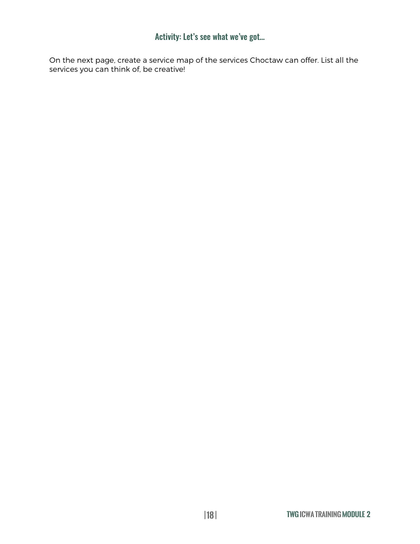#### Activity: Let's see what we've got…

On the next page, create a service map of the services Choctaw can offer. List all the services you can think of, be creative!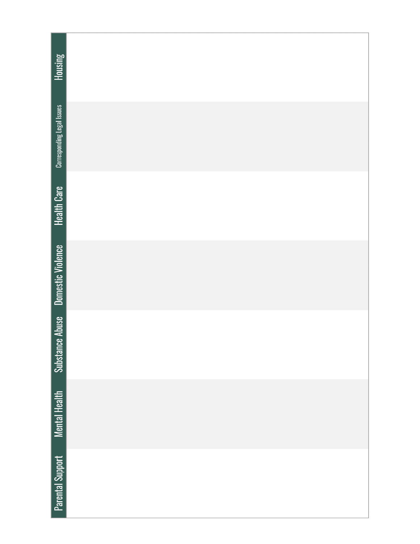| Housing                    |  |
|----------------------------|--|
| Corresponding Legal Issues |  |
| <b>Health Care</b>         |  |
| Domestic Violence          |  |
| <b>Substance Abuse</b>     |  |
| <b>Mental Health</b>       |  |
| <b>Parental Support</b>    |  |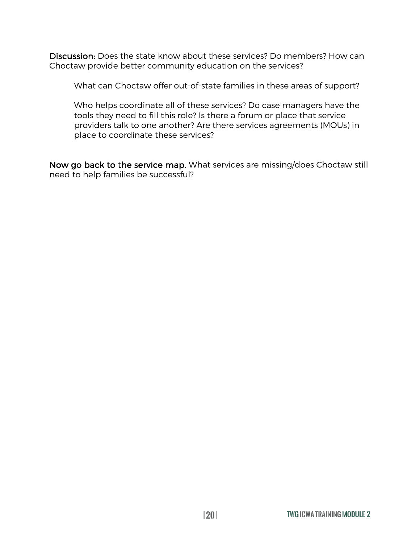Discussion: Does the state know about these services? Do members? How can Choctaw provide better community education on the services?

What can Choctaw offer out-of-state families in these areas of support?

Who helps coordinate all of these services? Do case managers have the tools they need to fill this role? Is there a forum or place that service providers talk to one another? Are there services agreements (MOUs) in place to coordinate these services?

Now go back to the service map. What services are missing/does Choctaw still need to help families be successful?